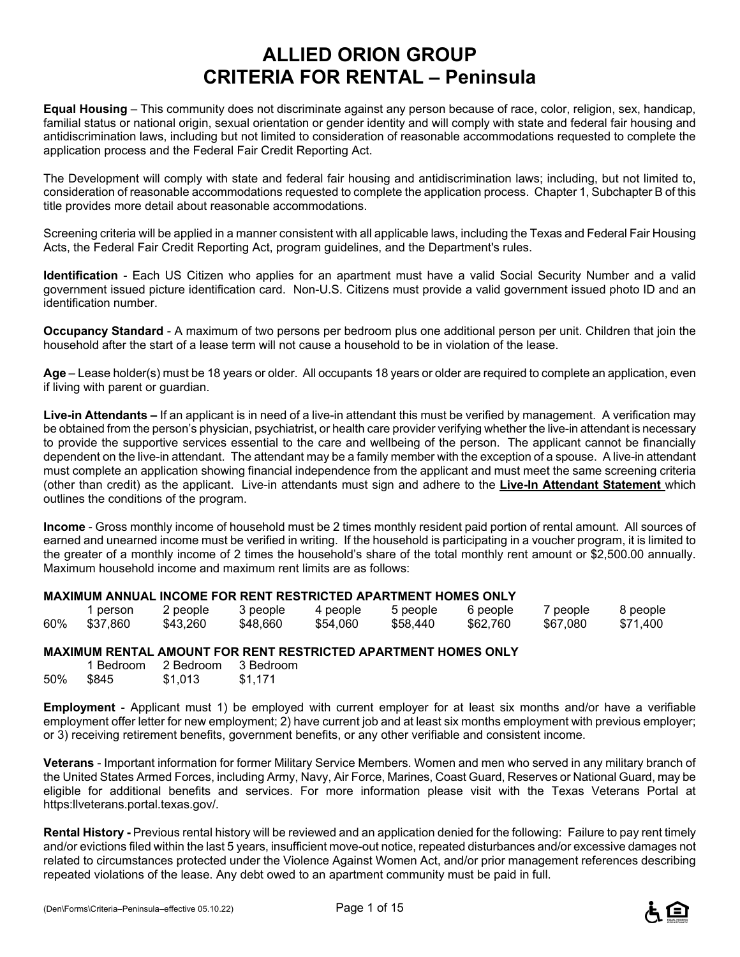# **ALLIED ORION GROUP CRITERIA FOR RENTAL – Peninsula**

**Equal Housing** – This community does not discriminate against any person because of race, color, religion, sex, handicap, familial status or national origin, sexual orientation or gender identity and will comply with state and federal fair housing and antidiscrimination laws, including but not limited to consideration of reasonable accommodations requested to complete the application process and the Federal Fair Credit Reporting Act.

The Development will comply with state and federal fair housing and antidiscrimination laws; including, but not limited to, consideration of reasonable accommodations requested to complete the application process. Chapter 1, Subchapter B of this title provides more detail about reasonable accommodations.

Screening criteria will be applied in a manner consistent with all applicable laws, including the Texas and Federal Fair Housing Acts, the Federal Fair Credit Reporting Act, program guidelines, and the Department's rules.

**Identification** - Each US Citizen who applies for an apartment must have a valid Social Security Number and a valid government issued picture identification card. Non-U.S. Citizens must provide a valid government issued photo ID and an identification number.

**Occupancy Standard** - A maximum of two persons per bedroom plus one additional person per unit. Children that join the household after the start of a lease term will not cause a household to be in violation of the lease.

**Age** – Lease holder(s) must be 18 years or older. All occupants 18 years or older are required to complete an application, even if living with parent or guardian.

**Live-in Attendants –** If an applicant is in need of a live-in attendant this must be verified by management. A verification may be obtained from the person's physician, psychiatrist, or health care provider verifying whether the live-in attendant is necessary to provide the supportive services essential to the care and wellbeing of the person. The applicant cannot be financially dependent on the live-in attendant. The attendant may be a family member with the exception of a spouse. A live-in attendant must complete an application showing financial independence from the applicant and must meet the same screening criteria (other than credit) as the applicant. Live-in attendants must sign and adhere to the **Live-In Attendant Statement** which outlines the conditions of the program.

**Income** - Gross monthly income of household must be 2 times monthly resident paid portion of rental amount. All sources of earned and unearned income must be verified in writing. If the household is participating in a voucher program, it is limited to the greater of a monthly income of 2 times the household's share of the total monthly rent amount or \$2,500.00 annually. Maximum household income and maximum rent limits are as follows:

#### **MAXIMUM ANNUAL INCOME FOR RENT RESTRICTED APARTMENT HOMES ONLY**

|     | person   | 2 people | 3 people | 4 people | 5 people | 6 people | 7 people | 8 people |
|-----|----------|----------|----------|----------|----------|----------|----------|----------|
| 60% | \$37.860 | \$43.260 | \$48,660 | \$54,060 | \$58,440 | \$62,760 | \$67.080 | \$71.400 |

#### **MAXIMUM RENTAL AMOUNT FOR RENT RESTRICTED APARTMENT HOMES ONLY**

|     | 1 Bedroom | 2 Bedroom | 3 Bedroom |
|-----|-----------|-----------|-----------|
| 50% | \$845     | \$1,013   | \$1,171   |

**Employment** - Applicant must 1) be employed with current employer for at least six months and/or have a verifiable employment offer letter for new employment; 2) have current job and at least six months employment with previous employer; or 3) receiving retirement benefits, government benefits, or any other verifiable and consistent income.

**Veterans** - Important information for former Military Service Members. Women and men who served in any military branch of the United States Armed Forces, including Army, Navy, Air Force, Marines, Coast Guard, Reserves or National Guard, may be eligible for additional benefits and services. For more information please visit with the Texas Veterans Portal at https:llveterans.portal.texas.gov/.

**Rental History -** Previous rental history will be reviewed and an application denied for the following: Failure to pay rent timely and/or evictions filed within the last 5 years, insufficient move-out notice, repeated disturbances and/or excessive damages not related to circumstances protected under the Violence Against Women Act, and/or prior management references describing repeated violations of the lease. Any debt owed to an apartment community must be paid in full.

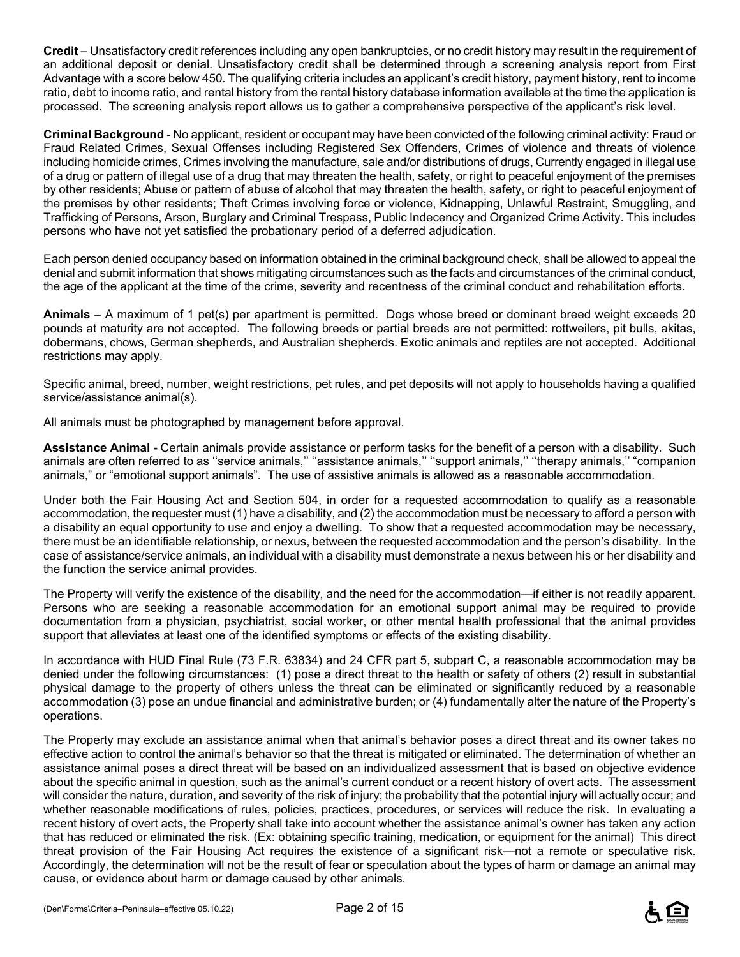**Credit** – Unsatisfactory credit references including any open bankruptcies, or no credit history may result in the requirement of an additional deposit or denial. Unsatisfactory credit shall be determined through a screening analysis report from First Advantage with a score below 450. The qualifying criteria includes an applicant's credit history, payment history, rent to income ratio, debt to income ratio, and rental history from the rental history database information available at the time the application is processed. The screening analysis report allows us to gather a comprehensive perspective of the applicant's risk level.

**Criminal Background** - No applicant, resident or occupant may have been convicted of the following criminal activity: Fraud or Fraud Related Crimes, Sexual Offenses including Registered Sex Offenders, Crimes of violence and threats of violence including homicide crimes, Crimes involving the manufacture, sale and/or distributions of drugs, Currently engaged in illegal use of a drug or pattern of illegal use of a drug that may threaten the health, safety, or right to peaceful enjoyment of the premises by other residents; Abuse or pattern of abuse of alcohol that may threaten the health, safety, or right to peaceful enjoyment of the premises by other residents; Theft Crimes involving force or violence, Kidnapping, Unlawful Restraint, Smuggling, and Trafficking of Persons, Arson, Burglary and Criminal Trespass, Public Indecency and Organized Crime Activity. This includes persons who have not yet satisfied the probationary period of a deferred adjudication.

Each person denied occupancy based on information obtained in the criminal background check, shall be allowed to appeal the denial and submit information that shows mitigating circumstances such as the facts and circumstances of the criminal conduct, the age of the applicant at the time of the crime, severity and recentness of the criminal conduct and rehabilitation efforts.

**Animals** – A maximum of 1 pet(s) per apartment is permitted. Dogs whose breed or dominant breed weight exceeds 20 pounds at maturity are not accepted. The following breeds or partial breeds are not permitted: rottweilers, pit bulls, akitas, dobermans, chows, German shepherds, and Australian shepherds. Exotic animals and reptiles are not accepted. Additional restrictions may apply.

Specific animal, breed, number, weight restrictions, pet rules, and pet deposits will not apply to households having a qualified service/assistance animal(s).

All animals must be photographed by management before approval.

**Assistance Animal -** Certain animals provide assistance or perform tasks for the benefit of a person with a disability. Such animals are often referred to as ''service animals,'' ''assistance animals,'' ''support animals,'' ''therapy animals,'' "companion animals," or "emotional support animals". The use of assistive animals is allowed as a reasonable accommodation.

Under both the Fair Housing Act and Section 504, in order for a requested accommodation to qualify as a reasonable accommodation, the requester must (1) have a disability, and (2) the accommodation must be necessary to afford a person with a disability an equal opportunity to use and enjoy a dwelling. To show that a requested accommodation may be necessary, there must be an identifiable relationship, or nexus, between the requested accommodation and the person's disability. In the case of assistance/service animals, an individual with a disability must demonstrate a nexus between his or her disability and the function the service animal provides.

The Property will verify the existence of the disability, and the need for the accommodation—if either is not readily apparent. Persons who are seeking a reasonable accommodation for an emotional support animal may be required to provide documentation from a physician, psychiatrist, social worker, or other mental health professional that the animal provides support that alleviates at least one of the identified symptoms or effects of the existing disability.

In accordance with HUD Final Rule (73 F.R. 63834) and 24 CFR part 5, subpart C, a reasonable accommodation may be denied under the following circumstances: (1) pose a direct threat to the health or safety of others (2) result in substantial physical damage to the property of others unless the threat can be eliminated or significantly reduced by a reasonable accommodation (3) pose an undue financial and administrative burden; or (4) fundamentally alter the nature of the Property's operations.

The Property may exclude an assistance animal when that animal's behavior poses a direct threat and its owner takes no effective action to control the animal's behavior so that the threat is mitigated or eliminated. The determination of whether an assistance animal poses a direct threat will be based on an individualized assessment that is based on objective evidence about the specific animal in question, such as the animal's current conduct or a recent history of overt acts. The assessment will consider the nature, duration, and severity of the risk of injury; the probability that the potential injury will actually occur; and whether reasonable modifications of rules, policies, practices, procedures, or services will reduce the risk. In evaluating a recent history of overt acts, the Property shall take into account whether the assistance animal's owner has taken any action that has reduced or eliminated the risk. (Ex: obtaining specific training, medication, or equipment for the animal) This direct threat provision of the Fair Housing Act requires the existence of a significant risk—not a remote or speculative risk. Accordingly, the determination will not be the result of fear or speculation about the types of harm or damage an animal may cause, or evidence about harm or damage caused by other animals.

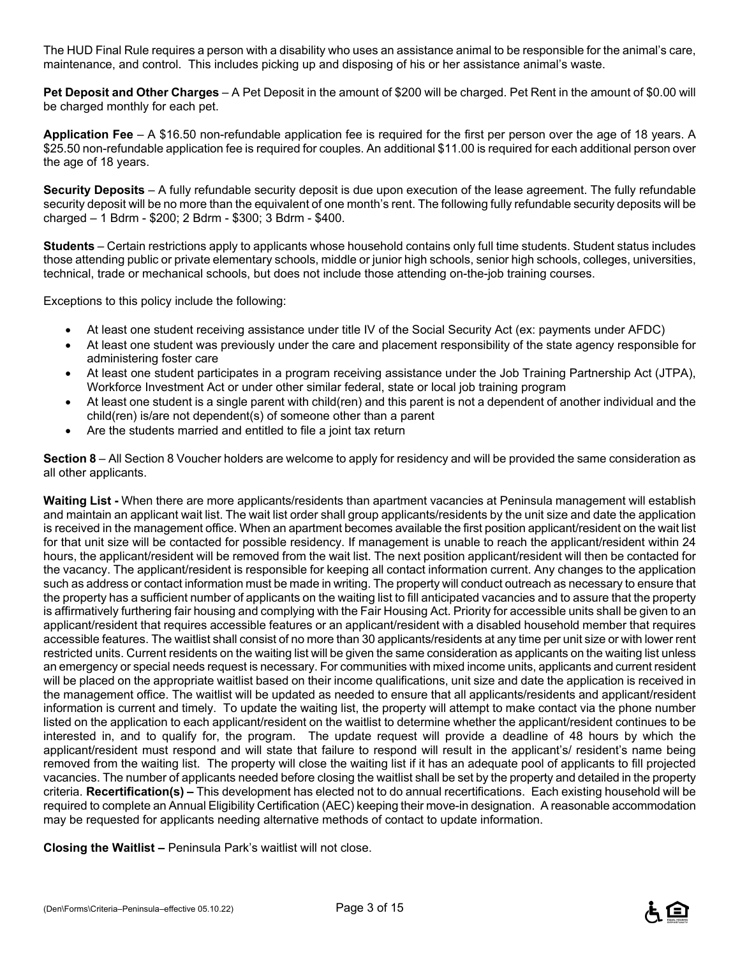The HUD Final Rule requires a person with a disability who uses an assistance animal to be responsible for the animal's care, maintenance, and control. This includes picking up and disposing of his or her assistance animal's waste.

**Pet Deposit and Other Charges** – A Pet Deposit in the amount of \$200 will be charged. Pet Rent in the amount of \$0.00 will be charged monthly for each pet.

**Application Fee** – A \$16.50 non-refundable application fee is required for the first per person over the age of 18 years. A \$25.50 non-refundable application fee is required for couples. An additional \$11.00 is required for each additional person over the age of 18 years.

**Security Deposits** – A fully refundable security deposit is due upon execution of the lease agreement. The fully refundable security deposit will be no more than the equivalent of one month's rent. The following fully refundable security deposits will be charged – 1 Bdrm - \$200; 2 Bdrm - \$300; 3 Bdrm - \$400.

**Students** – Certain restrictions apply to applicants whose household contains only full time students. Student status includes those attending public or private elementary schools, middle or junior high schools, senior high schools, colleges, universities, technical, trade or mechanical schools, but does not include those attending on-the-job training courses.

Exceptions to this policy include the following:

- At least one student receiving assistance under title IV of the Social Security Act (ex: payments under AFDC)
- At least one student was previously under the care and placement responsibility of the state agency responsible for administering foster care
- At least one student participates in a program receiving assistance under the Job Training Partnership Act (JTPA), Workforce Investment Act or under other similar federal, state or local job training program
- At least one student is a single parent with child(ren) and this parent is not a dependent of another individual and the child(ren) is/are not dependent(s) of someone other than a parent
- Are the students married and entitled to file a joint tax return

**Section 8** – All Section 8 Voucher holders are welcome to apply for residency and will be provided the same consideration as all other applicants.

**Waiting List -** When there are more applicants/residents than apartment vacancies at Peninsula management will establish and maintain an applicant wait list. The wait list order shall group applicants/residents by the unit size and date the application is received in the management office. When an apartment becomes available the first position applicant/resident on the wait list for that unit size will be contacted for possible residency. If management is unable to reach the applicant/resident within 24 hours, the applicant/resident will be removed from the wait list. The next position applicant/resident will then be contacted for the vacancy. The applicant/resident is responsible for keeping all contact information current. Any changes to the application such as address or contact information must be made in writing. The property will conduct outreach as necessary to ensure that the property has a sufficient number of applicants on the waiting list to fill anticipated vacancies and to assure that the property is affirmatively furthering fair housing and complying with the Fair Housing Act. Priority for accessible units shall be given to an applicant/resident that requires accessible features or an applicant/resident with a disabled household member that requires accessible features. The waitlist shall consist of no more than 30 applicants/residents at any time per unit size or with lower rent restricted units. Current residents on the waiting list will be given the same consideration as applicants on the waiting list unless an emergency or special needs request is necessary. For communities with mixed income units, applicants and current resident will be placed on the appropriate waitlist based on their income qualifications, unit size and date the application is received in the management office. The waitlist will be updated as needed to ensure that all applicants/residents and applicant/resident information is current and timely. To update the waiting list, the property will attempt to make contact via the phone number listed on the application to each applicant/resident on the waitlist to determine whether the applicant/resident continues to be interested in, and to qualify for, the program. The update request will provide a deadline of 48 hours by which the applicant/resident must respond and will state that failure to respond will result in the applicant's/ resident's name being removed from the waiting list. The property will close the waiting list if it has an adequate pool of applicants to fill projected vacancies. The number of applicants needed before closing the waitlist shall be set by the property and detailed in the property criteria. **Recertification(s) –** This development has elected not to do annual recertifications. Each existing household will be required to complete an Annual Eligibility Certification (AEC) keeping their move-in designation. A reasonable accommodation may be requested for applicants needing alternative methods of contact to update information.

**Closing the Waitlist –** Peninsula Park's waitlist will not close.

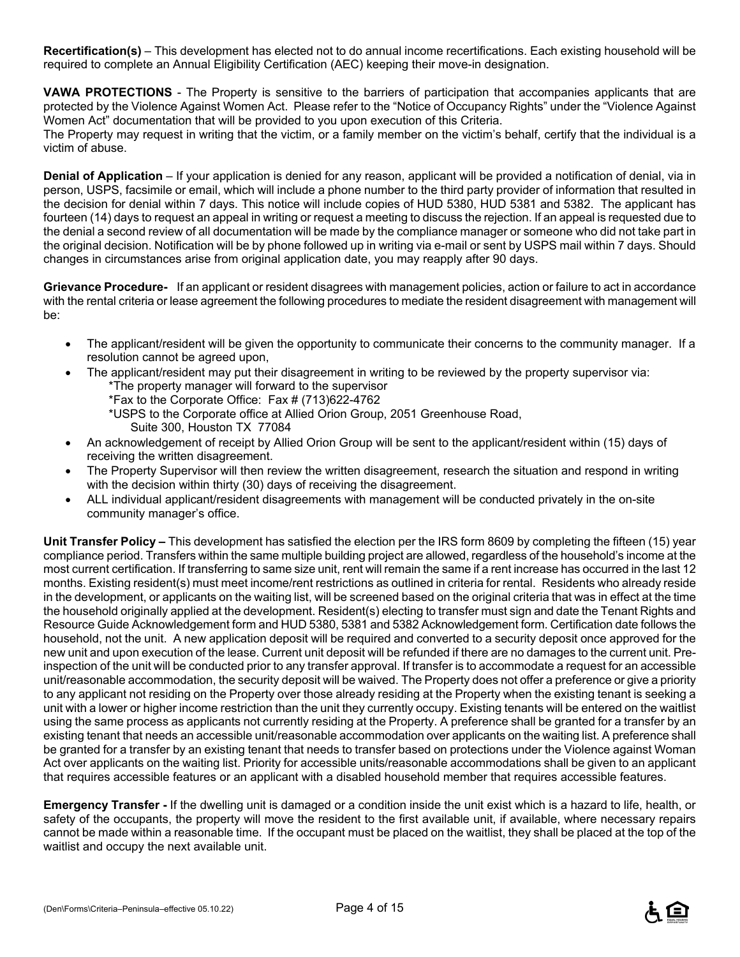**Recertification(s)** – This development has elected not to do annual income recertifications. Each existing household will be required to complete an Annual Eligibility Certification (AEC) keeping their move-in designation.

**VAWA PROTECTIONS** - The Property is sensitive to the barriers of participation that accompanies applicants that are protected by the Violence Against Women Act. Please refer to the "Notice of Occupancy Rights" under the "Violence Against Women Act" documentation that will be provided to you upon execution of this Criteria. The Property may request in writing that the victim, or a family member on the victim's behalf, certify that the individual is a victim of abuse.

**Denial of Application** – If your application is denied for any reason, applicant will be provided a notification of denial, via in person, USPS, facsimile or email, which will include a phone number to the third party provider of information that resulted in the decision for denial within 7 days. This notice will include copies of HUD 5380, HUD 5381 and 5382. The applicant has fourteen (14) days to request an appeal in writing or request a meeting to discuss the rejection. If an appeal is requested due to the denial a second review of all documentation will be made by the compliance manager or someone who did not take part in the original decision. Notification will be by phone followed up in writing via e-mail or sent by USPS mail within 7 days. Should changes in circumstances arise from original application date, you may reapply after 90 days.

**Grievance Procedure-** If an applicant or resident disagrees with management policies, action or failure to act in accordance with the rental criteria or lease agreement the following procedures to mediate the resident disagreement with management will be:

- The applicant/resident will be given the opportunity to communicate their concerns to the community manager. If a resolution cannot be agreed upon,
- The applicant/resident may put their disagreement in writing to be reviewed by the property supervisor via: \*The property manager will forward to the supervisor
	- \*Fax to the Corporate Office: Fax # (713)622-4762
	- \*USPS to the Corporate office at Allied Orion Group, 2051 Greenhouse Road, Suite 300, Houston TX 77084
- An acknowledgement of receipt by Allied Orion Group will be sent to the applicant/resident within (15) days of receiving the written disagreement.
- The Property Supervisor will then review the written disagreement, research the situation and respond in writing with the decision within thirty (30) days of receiving the disagreement.
- ALL individual applicant/resident disagreements with management will be conducted privately in the on-site community manager's office.

**Unit Transfer Policy –** This development has satisfied the election per the IRS form 8609 by completing the fifteen (15) year compliance period. Transfers within the same multiple building project are allowed, regardless of the household's income at the most current certification. If transferring to same size unit, rent will remain the same if a rent increase has occurred in the last 12 months. Existing resident(s) must meet income/rent restrictions as outlined in criteria for rental. Residents who already reside in the development, or applicants on the waiting list, will be screened based on the original criteria that was in effect at the time the household originally applied at the development. Resident(s) electing to transfer must sign and date the Tenant Rights and Resource Guide Acknowledgement form and HUD 5380, 5381 and 5382 Acknowledgement form. Certification date follows the household, not the unit. A new application deposit will be required and converted to a security deposit once approved for the new unit and upon execution of the lease. Current unit deposit will be refunded if there are no damages to the current unit. Preinspection of the unit will be conducted prior to any transfer approval. If transfer is to accommodate a request for an accessible unit/reasonable accommodation, the security deposit will be waived. The Property does not offer a preference or give a priority to any applicant not residing on the Property over those already residing at the Property when the existing tenant is seeking a unit with a lower or higher income restriction than the unit they currently occupy. Existing tenants will be entered on the waitlist using the same process as applicants not currently residing at the Property. A preference shall be granted for a transfer by an existing tenant that needs an accessible unit/reasonable accommodation over applicants on the waiting list. A preference shall be granted for a transfer by an existing tenant that needs to transfer based on protections under the Violence against Woman Act over applicants on the waiting list. Priority for accessible units/reasonable accommodations shall be given to an applicant that requires accessible features or an applicant with a disabled household member that requires accessible features.

**Emergency Transfer -** If the dwelling unit is damaged or a condition inside the unit exist which is a hazard to life, health, or safety of the occupants, the property will move the resident to the first available unit, if available, where necessary repairs cannot be made within a reasonable time. If the occupant must be placed on the waitlist, they shall be placed at the top of the waitlist and occupy the next available unit.

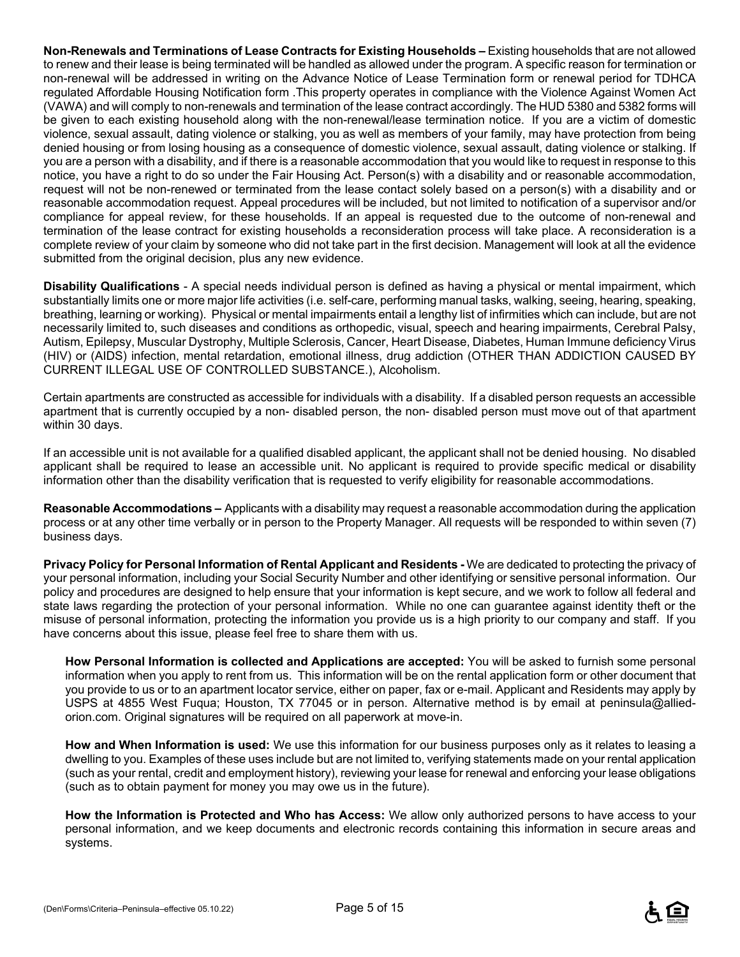**Non-Renewals and Terminations of Lease Contracts for Existing Households –** Existing households that are not allowed to renew and their lease is being terminated will be handled as allowed under the program. A specific reason for termination or non-renewal will be addressed in writing on the Advance Notice of Lease Termination form or renewal period for TDHCA regulated Affordable Housing Notification form .This property operates in compliance with the Violence Against Women Act (VAWA) and will comply to non-renewals and termination of the lease contract accordingly. The HUD 5380 and 5382 forms will be given to each existing household along with the non-renewal/lease termination notice. If you are a victim of domestic violence, sexual assault, dating violence or stalking, you as well as members of your family, may have protection from being denied housing or from losing housing as a consequence of domestic violence, sexual assault, dating violence or stalking. If you are a person with a disability, and if there is a reasonable accommodation that you would like to request in response to this notice, you have a right to do so under the Fair Housing Act. Person(s) with a disability and or reasonable accommodation, request will not be non-renewed or terminated from the lease contact solely based on a person(s) with a disability and or reasonable accommodation request. Appeal procedures will be included, but not limited to notification of a supervisor and/or compliance for appeal review, for these households. If an appeal is requested due to the outcome of non-renewal and termination of the lease contract for existing households a reconsideration process will take place. A reconsideration is a complete review of your claim by someone who did not take part in the first decision. Management will look at all the evidence submitted from the original decision, plus any new evidence.

**Disability Qualifications** - A special needs individual person is defined as having a physical or mental impairment, which substantially limits one or more major life activities (i.e. self-care, performing manual tasks, walking, seeing, hearing, speaking, breathing, learning or working). Physical or mental impairments entail a lengthy list of infirmities which can include, but are not necessarily limited to, such diseases and conditions as orthopedic, visual, speech and hearing impairments, Cerebral Palsy, Autism, Epilepsy, Muscular Dystrophy, Multiple Sclerosis, Cancer, Heart Disease, Diabetes, Human Immune deficiency Virus (HIV) or (AIDS) infection, mental retardation, emotional illness, drug addiction (OTHER THAN ADDICTION CAUSED BY CURRENT ILLEGAL USE OF CONTROLLED SUBSTANCE.), Alcoholism.

Certain apartments are constructed as accessible for individuals with a disability. If a disabled person requests an accessible apartment that is currently occupied by a non- disabled person, the non- disabled person must move out of that apartment within 30 days.

If an accessible unit is not available for a qualified disabled applicant, the applicant shall not be denied housing. No disabled applicant shall be required to lease an accessible unit. No applicant is required to provide specific medical or disability information other than the disability verification that is requested to verify eligibility for reasonable accommodations.

**Reasonable Accommodations –** Applicants with a disability may request a reasonable accommodation during the application process or at any other time verbally or in person to the Property Manager. All requests will be responded to within seven (7) business days.

**Privacy Policy for Personal Information of Rental Applicant and Residents -** We are dedicated to protecting the privacy of your personal information, including your Social Security Number and other identifying or sensitive personal information. Our policy and procedures are designed to help ensure that your information is kept secure, and we work to follow all federal and state laws regarding the protection of your personal information. While no one can guarantee against identity theft or the misuse of personal information, protecting the information you provide us is a high priority to our company and staff. If you have concerns about this issue, please feel free to share them with us.

**How Personal Information is collected and Applications are accepted:** You will be asked to furnish some personal information when you apply to rent from us. This information will be on the rental application form or other document that you provide to us or to an apartment locator service, either on paper, fax or e-mail. Applicant and Residents may apply by USPS at 4855 West Fuqua; Houston, TX 77045 or in person. Alternative method is by email at peninsula@alliedorion.com. Original signatures will be required on all paperwork at move-in.

**How and When Information is used:** We use this information for our business purposes only as it relates to leasing a dwelling to you. Examples of these uses include but are not limited to, verifying statements made on your rental application (such as your rental, credit and employment history), reviewing your lease for renewal and enforcing your lease obligations (such as to obtain payment for money you may owe us in the future).

**How the Information is Protected and Who has Access:** We allow only authorized persons to have access to your personal information, and we keep documents and electronic records containing this information in secure areas and systems.

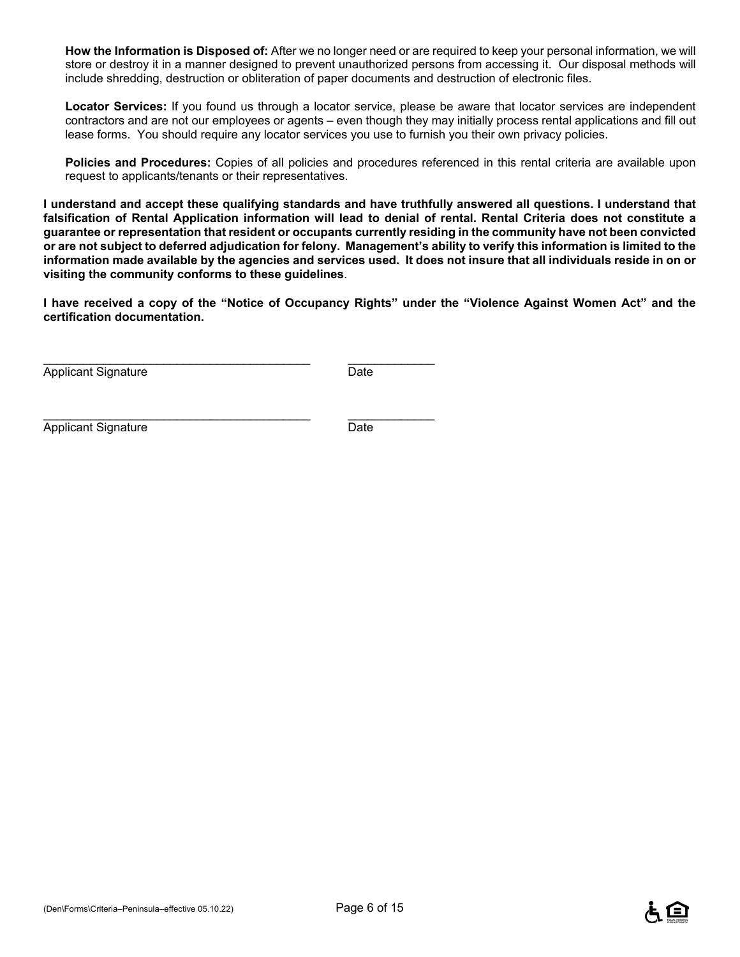**How the Information is Disposed of:** After we no longer need or are required to keep your personal information, we will store or destroy it in a manner designed to prevent unauthorized persons from accessing it. Our disposal methods will include shredding, destruction or obliteration of paper documents and destruction of electronic files.

**Locator Services:** If you found us through a locator service, please be aware that locator services are independent contractors and are not our employees or agents – even though they may initially process rental applications and fill out lease forms. You should require any locator services you use to furnish you their own privacy policies.

**Policies and Procedures:** Copies of all policies and procedures referenced in this rental criteria are available upon request to applicants/tenants or their representatives.

**I understand and accept these qualifying standards and have truthfully answered all questions. I understand that falsification of Rental Application information will lead to denial of rental. Rental Criteria does not constitute a guarantee or representation that resident or occupants currently residing in the community have not been convicted or are not subject to deferred adjudication for felony. Management's ability to verify this information is limited to the information made available by the agencies and services used. It does not insure that all individuals reside in on or visiting the community conforms to these guidelines**.

**I have received a copy of the "Notice of Occupancy Rights" under the "Violence Against Women Act" and the certification documentation.** 

Applicant Signature Date

\_\_\_\_\_\_\_\_\_\_\_\_\_\_\_\_\_\_\_\_\_\_\_\_\_\_\_\_\_\_\_\_\_\_\_\_\_\_\_\_ \_\_\_\_\_\_\_\_\_\_\_\_\_

\_\_\_\_\_\_\_\_\_\_\_\_\_\_\_\_\_\_\_\_\_\_\_\_\_\_\_\_\_\_\_\_\_\_\_\_\_\_\_\_ \_\_\_\_\_\_\_\_\_\_\_\_\_ Applicant Signature Date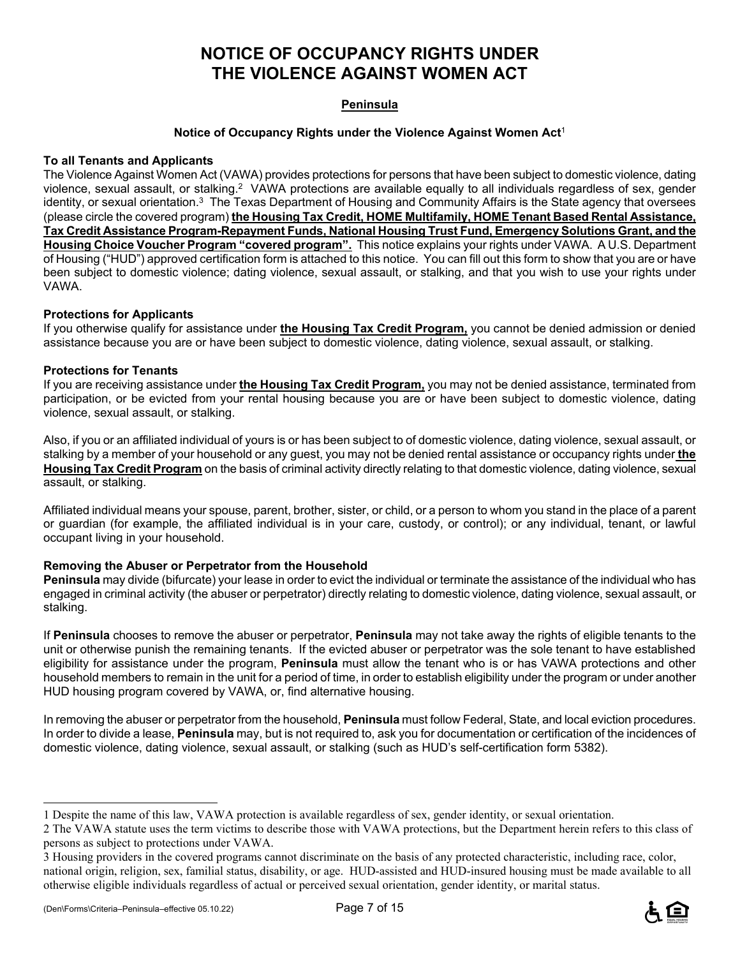## **NOTICE OF OCCUPANCY RIGHTS UNDER THE VIOLENCE AGAINST WOMEN ACT**

#### **Peninsula**

#### **Notice of Occupancy Rights under the Violence Against Women Act**<sup>1</sup>

#### **To all Tenants and Applicants**

The Violence Against Women Act (VAWA) provides protections for persons that have been subject to domestic violence, dating violence, sexual assault, or stalking.2 VAWA protections are available equally to all individuals regardless of sex, gender identity, or sexual orientation.<sup>3</sup> The Texas Department of Housing and Community Affairs is the State agency that oversees (please circle the covered program) **the Housing Tax Credit, HOME Multifamily, HOME Tenant Based Rental Assistance, Tax Credit Assistance Program-Repayment Funds, National Housing Trust Fund, Emergency Solutions Grant, and the Housing Choice Voucher Program "covered program".** This notice explains your rights under VAWA. A U.S. Department of Housing ("HUD") approved certification form is attached to this notice. You can fill out this form to show that you are or have been subject to domestic violence; dating violence, sexual assault, or stalking, and that you wish to use your rights under VAWA.

#### **Protections for Applicants**

If you otherwise qualify for assistance under **the Housing Tax Credit Program,** you cannot be denied admission or denied assistance because you are or have been subject to domestic violence, dating violence, sexual assault, or stalking.

#### **Protections for Tenants**

If you are receiving assistance under **the Housing Tax Credit Program,** you may not be denied assistance, terminated from participation, or be evicted from your rental housing because you are or have been subject to domestic violence, dating violence, sexual assault, or stalking.

Also, if you or an affiliated individual of yours is or has been subject to of domestic violence, dating violence, sexual assault, or stalking by a member of your household or any guest, you may not be denied rental assistance or occupancy rights under **the Housing Tax Credit Program** on the basis of criminal activity directly relating to that domestic violence, dating violence, sexual assault, or stalking.

Affiliated individual means your spouse, parent, brother, sister, or child, or a person to whom you stand in the place of a parent or guardian (for example, the affiliated individual is in your care, custody, or control); or any individual, tenant, or lawful occupant living in your household.

#### **Removing the Abuser or Perpetrator from the Household**

**Peninsula** may divide (bifurcate) your lease in order to evict the individual or terminate the assistance of the individual who has engaged in criminal activity (the abuser or perpetrator) directly relating to domestic violence, dating violence, sexual assault, or stalking.

If **Peninsula** chooses to remove the abuser or perpetrator, **Peninsula** may not take away the rights of eligible tenants to the unit or otherwise punish the remaining tenants. If the evicted abuser or perpetrator was the sole tenant to have established eligibility for assistance under the program, **Peninsula** must allow the tenant who is or has VAWA protections and other household members to remain in the unit for a period of time, in order to establish eligibility under the program or under another HUD housing program covered by VAWA, or, find alternative housing.

In removing the abuser or perpetrator from the household, **Peninsula** must follow Federal, State, and local eviction procedures. In order to divide a lease, **Peninsula** may, but is not required to, ask you for documentation or certification of the incidences of domestic violence, dating violence, sexual assault, or stalking (such as HUD's self-certification form 5382).

÷



<sup>1</sup> Despite the name of this law, VAWA protection is available regardless of sex, gender identity, or sexual orientation.

<sup>2</sup> The VAWA statute uses the term victims to describe those with VAWA protections, but the Department herein refers to this class of persons as subject to protections under VAWA.

<sup>3</sup> Housing providers in the covered programs cannot discriminate on the basis of any protected characteristic, including race, color, national origin, religion, sex, familial status, disability, or age. HUD-assisted and HUD-insured housing must be made available to all otherwise eligible individuals regardless of actual or perceived sexual orientation, gender identity, or marital status.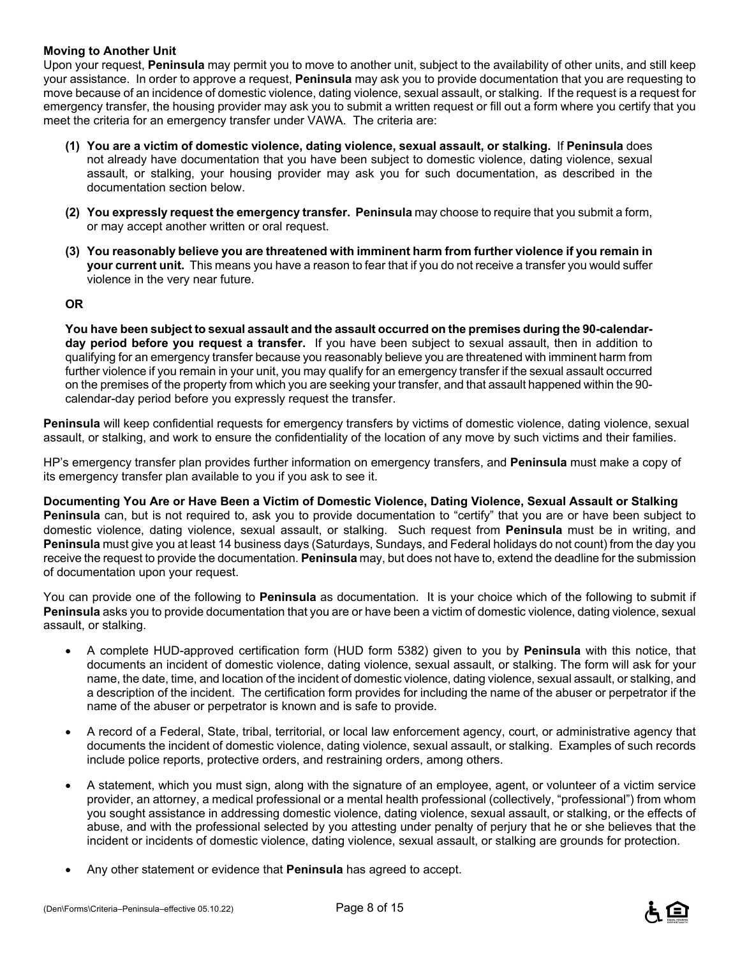#### **Moving to Another Unit**

Upon your request, **Peninsula** may permit you to move to another unit, subject to the availability of other units, and still keep your assistance. In order to approve a request, **Peninsula** may ask you to provide documentation that you are requesting to move because of an incidence of domestic violence, dating violence, sexual assault, or stalking. If the request is a request for emergency transfer, the housing provider may ask you to submit a written request or fill out a form where you certify that you meet the criteria for an emergency transfer under VAWA. The criteria are:

- **(1) You are a victim of domestic violence, dating violence, sexual assault, or stalking.** If **Peninsula** does not already have documentation that you have been subject to domestic violence, dating violence, sexual assault, or stalking, your housing provider may ask you for such documentation, as described in the documentation section below.
- **(2) You expressly request the emergency transfer. Peninsula** may choose to require that you submit a form, or may accept another written or oral request.
- **(3) You reasonably believe you are threatened with imminent harm from further violence if you remain in your current unit.** This means you have a reason to fear that if you do not receive a transfer you would suffer violence in the very near future.

#### **OR**

**You have been subject to sexual assault and the assault occurred on the premises during the 90-calendarday period before you request a transfer.** If you have been subject to sexual assault, then in addition to qualifying for an emergency transfer because you reasonably believe you are threatened with imminent harm from further violence if you remain in your unit, you may qualify for an emergency transfer if the sexual assault occurred on the premises of the property from which you are seeking your transfer, and that assault happened within the 90 calendar-day period before you expressly request the transfer.

**Peninsula** will keep confidential requests for emergency transfers by victims of domestic violence, dating violence, sexual assault, or stalking, and work to ensure the confidentiality of the location of any move by such victims and their families.

HP's emergency transfer plan provides further information on emergency transfers, and **Peninsula** must make a copy of its emergency transfer plan available to you if you ask to see it.

**Documenting You Are or Have Been a Victim of Domestic Violence, Dating Violence, Sexual Assault or Stalking Peninsula** can, but is not required to, ask you to provide documentation to "certify" that you are or have been subject to domestic violence, dating violence, sexual assault, or stalking. Such request from **Peninsula** must be in writing, and **Peninsula** must give you at least 14 business days (Saturdays, Sundays, and Federal holidays do not count) from the day you receive the request to provide the documentation. **Peninsula** may, but does not have to, extend the deadline for the submission of documentation upon your request.

You can provide one of the following to **Peninsula** as documentation. It is your choice which of the following to submit if **Peninsula** asks you to provide documentation that you are or have been a victim of domestic violence, dating violence, sexual assault, or stalking.

- A complete HUD-approved certification form (HUD form 5382) given to you by **Peninsula** with this notice, that documents an incident of domestic violence, dating violence, sexual assault, or stalking. The form will ask for your name, the date, time, and location of the incident of domestic violence, dating violence, sexual assault, or stalking, and a description of the incident. The certification form provides for including the name of the abuser or perpetrator if the name of the abuser or perpetrator is known and is safe to provide.
- A record of a Federal, State, tribal, territorial, or local law enforcement agency, court, or administrative agency that documents the incident of domestic violence, dating violence, sexual assault, or stalking. Examples of such records include police reports, protective orders, and restraining orders, among others.
- A statement, which you must sign, along with the signature of an employee, agent, or volunteer of a victim service provider, an attorney, a medical professional or a mental health professional (collectively, "professional") from whom you sought assistance in addressing domestic violence, dating violence, sexual assault, or stalking, or the effects of abuse, and with the professional selected by you attesting under penalty of perjury that he or she believes that the incident or incidents of domestic violence, dating violence, sexual assault, or stalking are grounds for protection.
- Any other statement or evidence that **Peninsula** has agreed to accept.

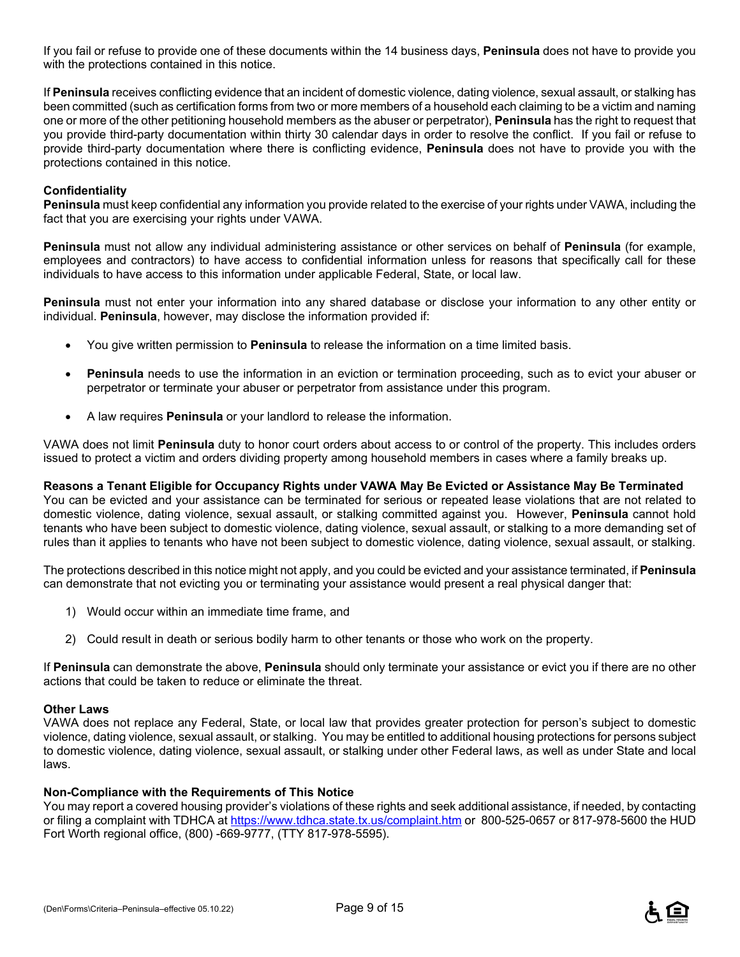If you fail or refuse to provide one of these documents within the 14 business days, **Peninsula** does not have to provide you with the protections contained in this notice.

If **Peninsula** receives conflicting evidence that an incident of domestic violence, dating violence, sexual assault, or stalking has been committed (such as certification forms from two or more members of a household each claiming to be a victim and naming one or more of the other petitioning household members as the abuser or perpetrator), **Peninsula** has the right to request that you provide third-party documentation within thirty 30 calendar days in order to resolve the conflict. If you fail or refuse to provide third-party documentation where there is conflicting evidence, **Peninsula** does not have to provide you with the protections contained in this notice.

#### **Confidentiality**

**Peninsula** must keep confidential any information you provide related to the exercise of your rights under VAWA, including the fact that you are exercising your rights under VAWA.

**Peninsula** must not allow any individual administering assistance or other services on behalf of **Peninsula** (for example, employees and contractors) to have access to confidential information unless for reasons that specifically call for these individuals to have access to this information under applicable Federal, State, or local law.

**Peninsula** must not enter your information into any shared database or disclose your information to any other entity or individual. **Peninsula**, however, may disclose the information provided if:

- You give written permission to **Peninsula** to release the information on a time limited basis.
- **Peninsula** needs to use the information in an eviction or termination proceeding, such as to evict your abuser or perpetrator or terminate your abuser or perpetrator from assistance under this program.
- A law requires **Peninsula** or your landlord to release the information.

VAWA does not limit **Peninsula** duty to honor court orders about access to or control of the property. This includes orders issued to protect a victim and orders dividing property among household members in cases where a family breaks up.

### **Reasons a Tenant Eligible for Occupancy Rights under VAWA May Be Evicted or Assistance May Be Terminated**

You can be evicted and your assistance can be terminated for serious or repeated lease violations that are not related to domestic violence, dating violence, sexual assault, or stalking committed against you. However, **Peninsula** cannot hold tenants who have been subject to domestic violence, dating violence, sexual assault, or stalking to a more demanding set of rules than it applies to tenants who have not been subject to domestic violence, dating violence, sexual assault, or stalking.

The protections described in this notice might not apply, and you could be evicted and your assistance terminated, if **Peninsula** can demonstrate that not evicting you or terminating your assistance would present a real physical danger that:

- 1) Would occur within an immediate time frame, and
- 2) Could result in death or serious bodily harm to other tenants or those who work on the property.

If **Peninsula** can demonstrate the above, **Peninsula** should only terminate your assistance or evict you if there are no other actions that could be taken to reduce or eliminate the threat.

#### **Other Laws**

VAWA does not replace any Federal, State, or local law that provides greater protection for person's subject to domestic violence, dating violence, sexual assault, or stalking. You may be entitled to additional housing protections for persons subject to domestic violence, dating violence, sexual assault, or stalking under other Federal laws, as well as under State and local laws.

#### **Non-Compliance with the Requirements of This Notice**

You may report a covered housing provider's violations of these rights and seek additional assistance, if needed, by contacting or filing a complaint with TDHCA at https://www.tdhca.state.tx.us/complaint.htm or 800-525-0657 or 817-978-5600 the HUD Fort Worth regional office, (800) -669-9777, (TTY 817-978-5595).

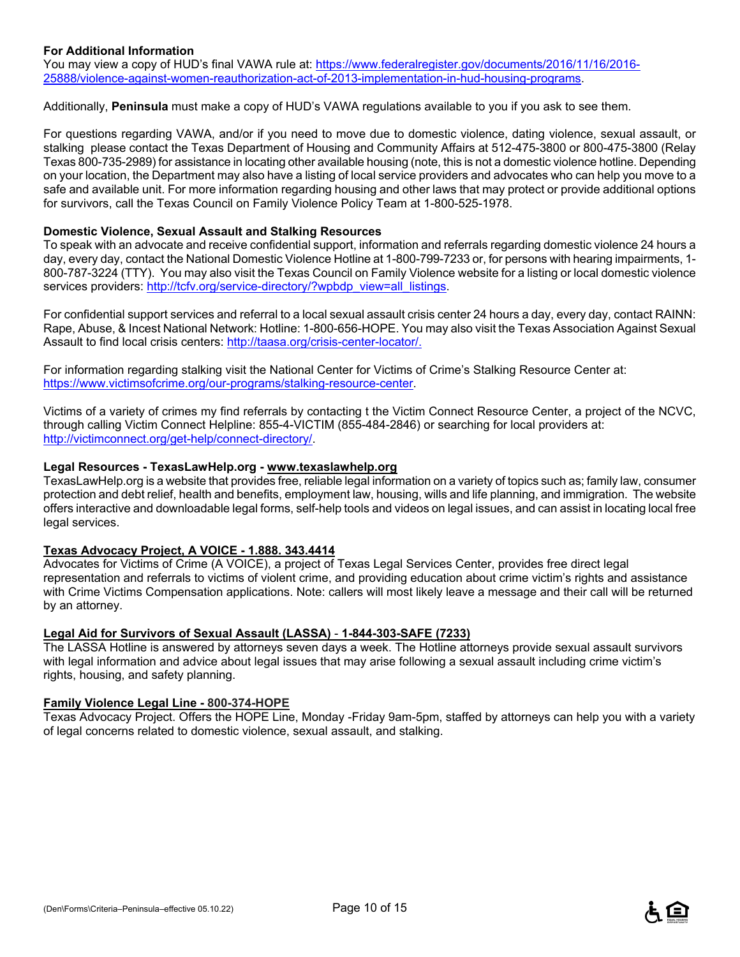#### **For Additional Information**

You may view a copy of HUD's final VAWA rule at: https://www.federalregister.gov/documents/2016/11/16/2016-25888/violence-against-women-reauthorization-act-of-2013-implementation-in-hud-housing-programs.

Additionally, **Peninsula** must make a copy of HUD's VAWA regulations available to you if you ask to see them.

For questions regarding VAWA, and/or if you need to move due to domestic violence, dating violence, sexual assault, or stalking please contact the Texas Department of Housing and Community Affairs at 512-475-3800 or 800-475-3800 (Relay Texas 800-735-2989) for assistance in locating other available housing (note, this is not a domestic violence hotline. Depending on your location, the Department may also have a listing of local service providers and advocates who can help you move to a safe and available unit. For more information regarding housing and other laws that may protect or provide additional options for survivors, call the Texas Council on Family Violence Policy Team at 1-800-525-1978.

#### **Domestic Violence, Sexual Assault and Stalking Resources**

To speak with an advocate and receive confidential support, information and referrals regarding domestic violence 24 hours a day, every day, contact the National Domestic Violence Hotline at 1-800-799-7233 or, for persons with hearing impairments, 1- 800-787-3224 (TTY). You may also visit the Texas Council on Family Violence website for a listing or local domestic violence services providers: http://tcfv.org/service-directory/?wpbdp\_view=all\_listings.

For confidential support services and referral to a local sexual assault crisis center 24 hours a day, every day, contact RAINN: Rape, Abuse, & Incest National Network: Hotline: 1-800-656-HOPE. You may also visit the Texas Association Against Sexual Assault to find local crisis centers: http://taasa.org/crisis-center-locator/.

For information regarding stalking visit the National Center for Victims of Crime's Stalking Resource Center at: https://www.victimsofcrime.org/our-programs/stalking-resource-center.

Victims of a variety of crimes my find referrals by contacting t the Victim Connect Resource Center, a project of the NCVC, through calling Victim Connect Helpline: 855-4-VICTIM (855-484-2846) or searching for local providers at: http://victimconnect.org/get-help/connect-directory/.

#### **Legal Resources - TexasLawHelp.org - www.texaslawhelp.org**

TexasLawHelp.org is a website that provides free, reliable legal information on a variety of topics such as; family law, consumer protection and debt relief, health and benefits, employment law, housing, wills and life planning, and immigration. The website offers interactive and downloadable legal forms, self-help tools and videos on legal issues, and can assist in locating local free legal services.

#### **Texas Advocacy Project, A VOICE - 1.888. 343.4414**

Advocates for Victims of Crime (A VOICE), a project of Texas Legal Services Center, provides free direct legal representation and referrals to victims of violent crime, and providing education about crime victim's rights and assistance with Crime Victims Compensation applications. Note: callers will most likely leave a message and their call will be returned by an attorney.

#### **Legal Aid for Survivors of Sexual Assault (LASSA)** - **1-844-303-SAFE (7233)**

The LASSA Hotline is answered by attorneys seven days a week. The Hotline attorneys provide sexual assault survivors with legal information and advice about legal issues that may arise following a sexual assault including crime victim's rights, housing, and safety planning.

#### **Family Violence Legal Line - 800-374-HOPE**

Texas Advocacy Project. Offers the HOPE Line, Monday -Friday 9am-5pm, staffed by attorneys can help you with a variety of legal concerns related to domestic violence, sexual assault, and stalking.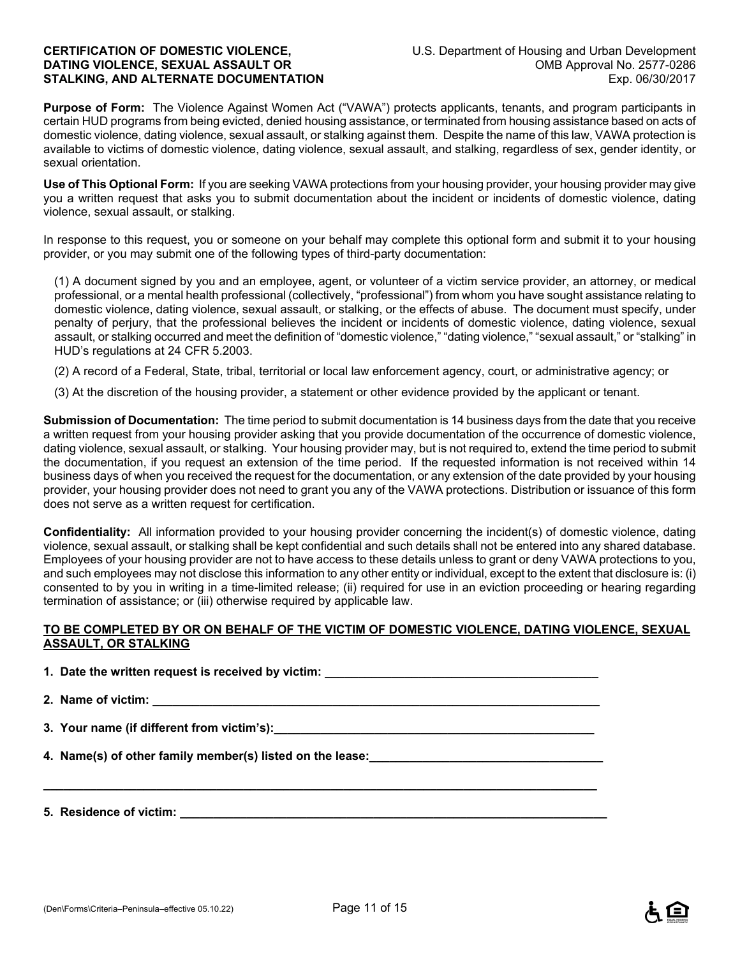**Purpose of Form:** The Violence Against Women Act ("VAWA") protects applicants, tenants, and program participants in certain HUD programs from being evicted, denied housing assistance, or terminated from housing assistance based on acts of domestic violence, dating violence, sexual assault, or stalking against them. Despite the name of this law, VAWA protection is available to victims of domestic violence, dating violence, sexual assault, and stalking, regardless of sex, gender identity, or sexual orientation.

**Use of This Optional Form:** If you are seeking VAWA protections from your housing provider, your housing provider may give you a written request that asks you to submit documentation about the incident or incidents of domestic violence, dating violence, sexual assault, or stalking.

In response to this request, you or someone on your behalf may complete this optional form and submit it to your housing provider, or you may submit one of the following types of third-party documentation:

(1) A document signed by you and an employee, agent, or volunteer of a victim service provider, an attorney, or medical professional, or a mental health professional (collectively, "professional") from whom you have sought assistance relating to domestic violence, dating violence, sexual assault, or stalking, or the effects of abuse. The document must specify, under penalty of perjury, that the professional believes the incident or incidents of domestic violence, dating violence, sexual assault, or stalking occurred and meet the definition of "domestic violence," "dating violence," "sexual assault," or "stalking" in HUD's regulations at 24 CFR 5.2003.

(2) A record of a Federal, State, tribal, territorial or local law enforcement agency, court, or administrative agency; or

(3) At the discretion of the housing provider, a statement or other evidence provided by the applicant or tenant.

**Submission of Documentation:** The time period to submit documentation is 14 business days from the date that you receive a written request from your housing provider asking that you provide documentation of the occurrence of domestic violence, dating violence, sexual assault, or stalking. Your housing provider may, but is not required to, extend the time period to submit the documentation, if you request an extension of the time period. If the requested information is not received within 14 business days of when you received the request for the documentation, or any extension of the date provided by your housing provider, your housing provider does not need to grant you any of the VAWA protections. Distribution or issuance of this form does not serve as a written request for certification.

**Confidentiality:** All information provided to your housing provider concerning the incident(s) of domestic violence, dating violence, sexual assault, or stalking shall be kept confidential and such details shall not be entered into any shared database. Employees of your housing provider are not to have access to these details unless to grant or deny VAWA protections to you, and such employees may not disclose this information to any other entity or individual, except to the extent that disclosure is: (i) consented to by you in writing in a time-limited release; (ii) required for use in an eviction proceeding or hearing regarding termination of assistance; or (iii) otherwise required by applicable law.

#### **TO BE COMPLETED BY OR ON BEHALF OF THE VICTIM OF DOMESTIC VIOLENCE, DATING VIOLENCE, SEXUAL ASSAULT, OR STALKING**

**1. Date the written request is received by victim: \_\_\_\_\_\_\_\_\_\_\_\_\_\_\_\_\_\_\_\_\_\_\_\_\_\_\_\_** 2. Name of victim:

**\_\_\_\_\_\_\_\_\_\_\_\_\_\_\_\_\_\_\_\_\_\_\_\_\_\_\_\_\_\_\_\_\_\_\_\_\_\_\_\_\_\_\_\_\_\_\_\_\_\_\_\_\_\_\_\_\_\_\_\_\_\_\_\_\_\_\_\_\_\_\_\_\_\_\_\_\_\_\_\_\_\_\_** 

**3. Your name (if different from victim's):\_\_\_\_\_\_\_\_\_\_\_\_\_\_\_\_\_\_\_\_\_\_\_\_\_\_\_\_\_\_\_\_\_\_\_\_\_\_\_\_\_\_\_\_\_\_\_\_** 

**4. Name(s) of other family member(s) listed on the lease:** 

**5. Residence of victim: \_\_\_\_\_\_\_\_\_\_\_\_\_\_\_\_\_\_\_\_\_\_\_\_\_\_\_\_\_\_\_\_\_\_\_\_\_\_\_\_\_\_\_\_\_\_\_\_\_\_\_\_\_\_\_\_\_\_\_\_\_\_\_\_**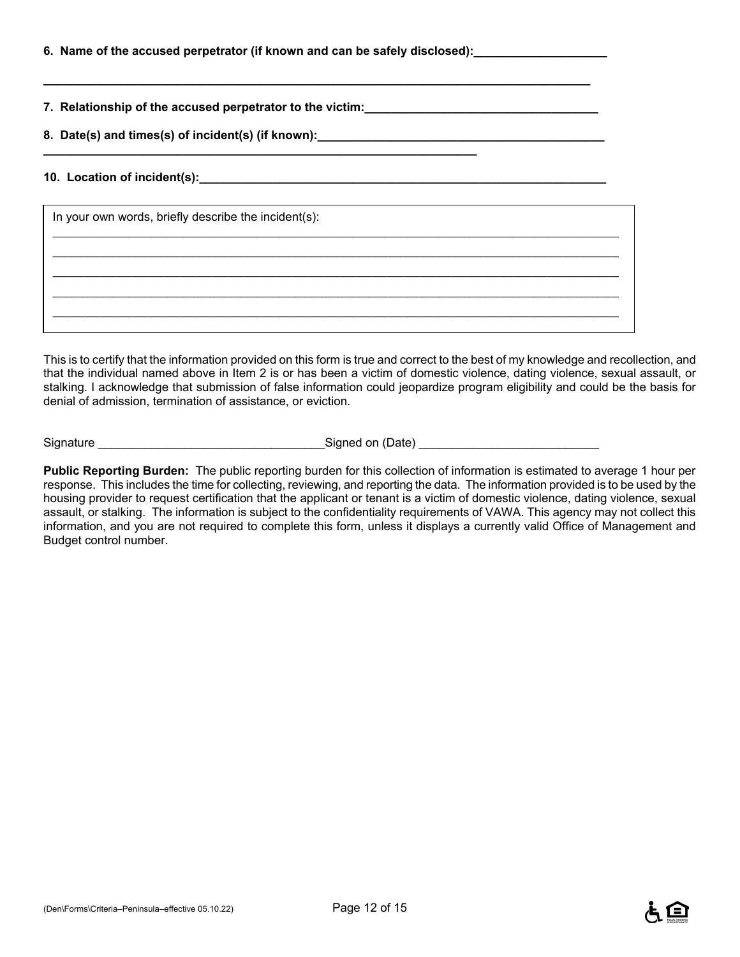| 6. Name of the accused perpetrator (if known and can be safely disclosed):_ |  |  |
|-----------------------------------------------------------------------------|--|--|
|                                                                             |  |  |

**7. Relationship of the accused perpetrator to the victim:\_\_\_\_\_\_\_\_\_\_\_\_\_\_\_\_\_\_\_\_\_\_\_\_\_\_\_\_\_\_\_\_\_\_\_** 

**8. Date(s) and times(s) of incident(s) (if known):\_\_\_\_\_\_\_\_\_\_\_\_\_\_\_\_\_\_\_\_\_\_\_\_\_\_\_\_\_\_\_\_\_\_\_\_\_\_\_\_\_\_\_ \_\_\_\_\_\_\_\_\_\_\_\_\_\_\_\_\_\_\_\_\_\_\_\_\_\_\_\_\_\_\_\_\_\_\_\_\_\_\_\_\_\_\_\_\_\_\_\_\_\_\_\_\_\_\_\_\_\_\_\_\_\_\_\_\_** 

**\_\_\_\_\_\_\_\_\_\_\_\_\_\_\_\_\_\_\_\_\_\_\_\_\_\_\_\_\_\_\_\_\_\_\_\_\_\_\_\_\_\_\_\_\_\_\_\_\_\_\_\_\_\_\_\_\_\_\_\_\_\_\_\_\_\_\_\_\_\_\_\_\_\_\_\_\_\_\_\_\_\_** 

#### **10. Location of incident(s):\_\_\_\_\_\_\_\_\_\_\_\_\_\_\_\_\_\_\_\_\_\_\_\_\_\_\_\_\_\_\_\_\_\_\_\_\_\_\_\_\_\_\_\_\_\_\_\_\_\_\_\_\_\_\_\_\_\_\_\_\_**

| In your own words, briefly describe the incident(s): |  |  |  |
|------------------------------------------------------|--|--|--|
|                                                      |  |  |  |
|                                                      |  |  |  |
|                                                      |  |  |  |
|                                                      |  |  |  |

This is to certify that the information provided on this form is true and correct to the best of my knowledge and recollection, and that the individual named above in Item 2 is or has been a victim of domestic violence, dating violence, sexual assault, or stalking. I acknowledge that submission of false information could jeopardize program eligibility and could be the basis for denial of admission, termination of assistance, or eviction.

Signature \_\_\_\_\_\_\_\_\_\_\_\_\_\_\_\_\_\_\_\_\_\_\_\_\_\_\_\_\_\_\_\_\_\_Signed on (Date) \_\_\_\_\_\_\_\_\_\_\_\_\_\_\_\_\_\_\_\_\_\_\_\_\_\_\_

**Public Reporting Burden:** The public reporting burden for this collection of information is estimated to average 1 hour per response. This includes the time for collecting, reviewing, and reporting the data. The information provided is to be used by the housing provider to request certification that the applicant or tenant is a victim of domestic violence, dating violence, sexual assault, or stalking. The information is subject to the confidentiality requirements of VAWA. This agency may not collect this information, and you are not required to complete this form, unless it displays a currently valid Office of Management and Budget control number.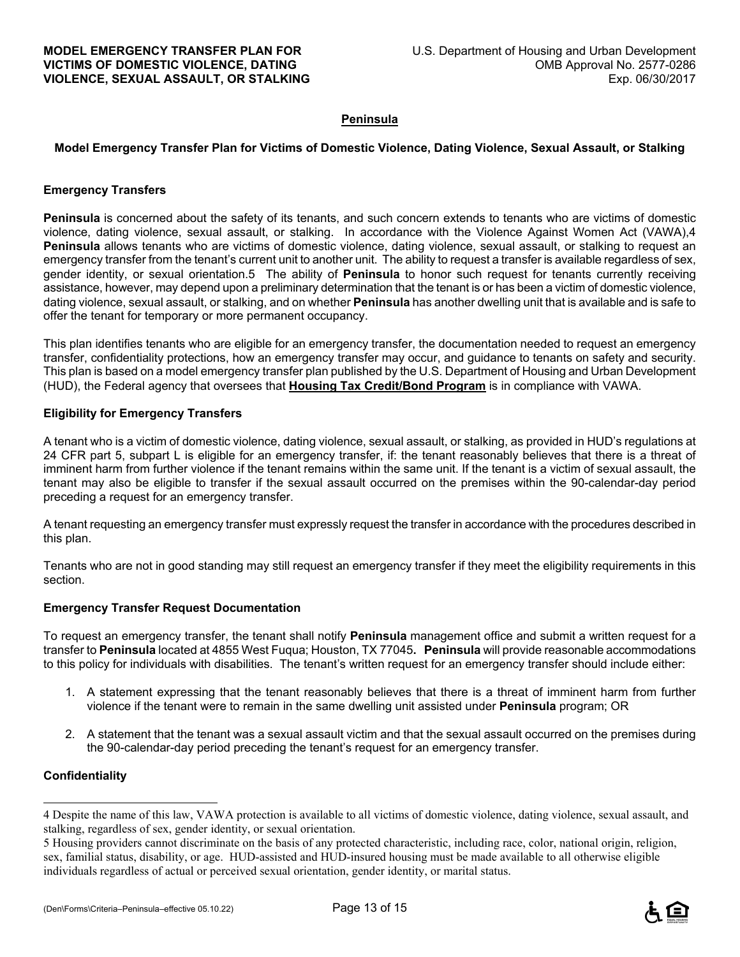#### **Peninsula**

#### **Model Emergency Transfer Plan for Victims of Domestic Violence, Dating Violence, Sexual Assault, or Stalking**

#### **Emergency Transfers**

**Peninsula** is concerned about the safety of its tenants, and such concern extends to tenants who are victims of domestic violence, dating violence, sexual assault, or stalking. In accordance with the Violence Against Women Act (VAWA),4 **Peninsula** allows tenants who are victims of domestic violence, dating violence, sexual assault, or stalking to request an emergency transfer from the tenant's current unit to another unit. The ability to request a transfer is available regardless of sex, gender identity, or sexual orientation.5 The ability of **Peninsula** to honor such request for tenants currently receiving assistance, however, may depend upon a preliminary determination that the tenant is or has been a victim of domestic violence, dating violence, sexual assault, or stalking, and on whether **Peninsula** has another dwelling unit that is available and is safe to offer the tenant for temporary or more permanent occupancy.

This plan identifies tenants who are eligible for an emergency transfer, the documentation needed to request an emergency transfer, confidentiality protections, how an emergency transfer may occur, and guidance to tenants on safety and security. This plan is based on a model emergency transfer plan published by the U.S. Department of Housing and Urban Development (HUD), the Federal agency that oversees that **Housing Tax Credit/Bond Program** is in compliance with VAWA.

#### **Eligibility for Emergency Transfers**

A tenant who is a victim of domestic violence, dating violence, sexual assault, or stalking, as provided in HUD's regulations at 24 CFR part 5, subpart L is eligible for an emergency transfer, if: the tenant reasonably believes that there is a threat of imminent harm from further violence if the tenant remains within the same unit. If the tenant is a victim of sexual assault, the tenant may also be eligible to transfer if the sexual assault occurred on the premises within the 90-calendar-day period preceding a request for an emergency transfer.

A tenant requesting an emergency transfer must expressly request the transfer in accordance with the procedures described in this plan.

Tenants who are not in good standing may still request an emergency transfer if they meet the eligibility requirements in this section.

#### **Emergency Transfer Request Documentation**

To request an emergency transfer, the tenant shall notify **Peninsula** management office and submit a written request for a transfer to **Peninsula** located at 4855 West Fuqua; Houston, TX 77045**. Peninsula** will provide reasonable accommodations to this policy for individuals with disabilities. The tenant's written request for an emergency transfer should include either:

- 1. A statement expressing that the tenant reasonably believes that there is a threat of imminent harm from further violence if the tenant were to remain in the same dwelling unit assisted under **Peninsula** program; OR
- 2. A statement that the tenant was a sexual assault victim and that the sexual assault occurred on the premises during the 90-calendar-day period preceding the tenant's request for an emergency transfer.

#### **Confidentiality**

÷



<sup>4</sup> Despite the name of this law, VAWA protection is available to all victims of domestic violence, dating violence, sexual assault, and stalking, regardless of sex, gender identity, or sexual orientation.

<sup>5</sup> Housing providers cannot discriminate on the basis of any protected characteristic, including race, color, national origin, religion, sex, familial status, disability, or age. HUD-assisted and HUD-insured housing must be made available to all otherwise eligible individuals regardless of actual or perceived sexual orientation, gender identity, or marital status.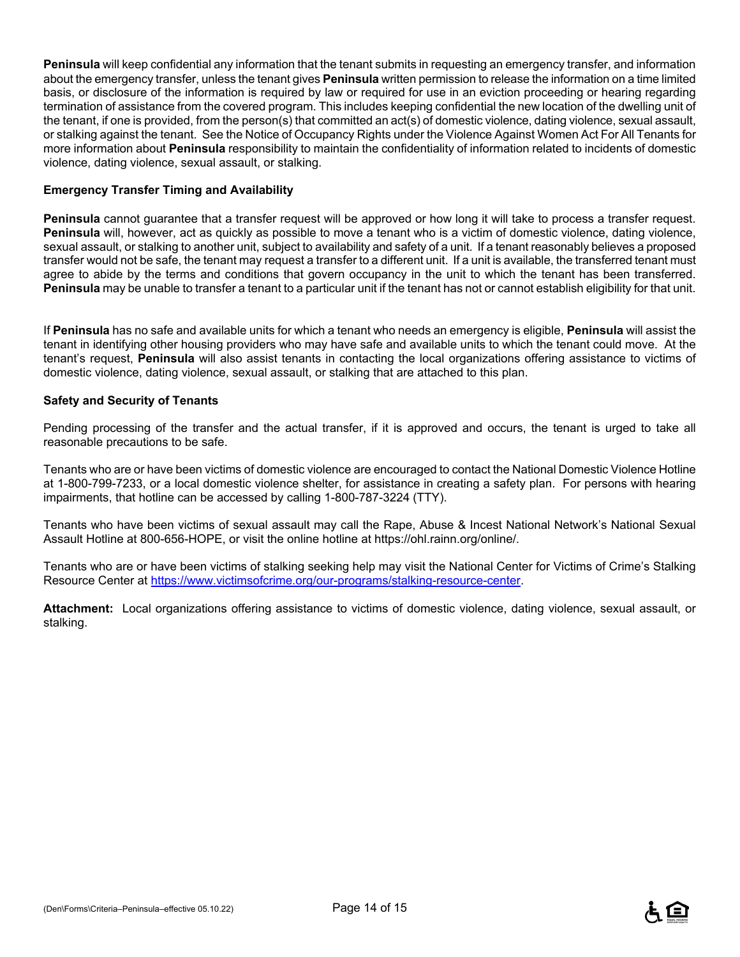**Peninsula** will keep confidential any information that the tenant submits in requesting an emergency transfer, and information about the emergency transfer, unless the tenant gives **Peninsula** written permission to release the information on a time limited basis, or disclosure of the information is required by law or required for use in an eviction proceeding or hearing regarding termination of assistance from the covered program. This includes keeping confidential the new location of the dwelling unit of the tenant, if one is provided, from the person(s) that committed an act(s) of domestic violence, dating violence, sexual assault, or stalking against the tenant. See the Notice of Occupancy Rights under the Violence Against Women Act For All Tenants for more information about **Peninsula** responsibility to maintain the confidentiality of information related to incidents of domestic violence, dating violence, sexual assault, or stalking.

#### **Emergency Transfer Timing and Availability**

**Peninsula** cannot guarantee that a transfer request will be approved or how long it will take to process a transfer request. **Peninsula** will, however, act as quickly as possible to move a tenant who is a victim of domestic violence, dating violence, sexual assault, or stalking to another unit, subject to availability and safety of a unit. If a tenant reasonably believes a proposed transfer would not be safe, the tenant may request a transfer to a different unit. If a unit is available, the transferred tenant must agree to abide by the terms and conditions that govern occupancy in the unit to which the tenant has been transferred. **Peninsula** may be unable to transfer a tenant to a particular unit if the tenant has not or cannot establish eligibility for that unit.

If **Peninsula** has no safe and available units for which a tenant who needs an emergency is eligible, **Peninsula** will assist the tenant in identifying other housing providers who may have safe and available units to which the tenant could move. At the tenant's request, **Peninsula** will also assist tenants in contacting the local organizations offering assistance to victims of domestic violence, dating violence, sexual assault, or stalking that are attached to this plan.

#### **Safety and Security of Tenants**

Pending processing of the transfer and the actual transfer, if it is approved and occurs, the tenant is urged to take all reasonable precautions to be safe.

Tenants who are or have been victims of domestic violence are encouraged to contact the National Domestic Violence Hotline at 1-800-799-7233, or a local domestic violence shelter, for assistance in creating a safety plan. For persons with hearing impairments, that hotline can be accessed by calling 1-800-787-3224 (TTY).

Tenants who have been victims of sexual assault may call the Rape, Abuse & Incest National Network's National Sexual Assault Hotline at 800-656-HOPE, or visit the online hotline at https://ohl.rainn.org/online/.

Tenants who are or have been victims of stalking seeking help may visit the National Center for Victims of Crime's Stalking Resource Center at https://www.victimsofcrime.org/our-programs/stalking-resource-center.

**Attachment:** Local organizations offering assistance to victims of domestic violence, dating violence, sexual assault, or stalking.